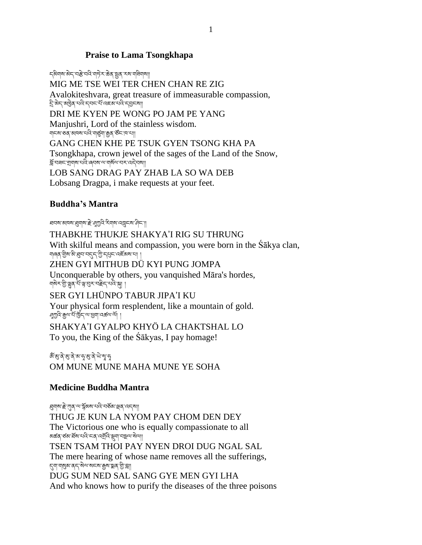## **Praise to Lama Tsongkhapa**

८अगवाले अन्तर्भुद्धा प्रति पाने राज्ये अन्य स्था गाने वाला। MIG ME TSE WEI TER CHEN CHAN RE ZIG Avalokiteshvara, great treasure of immeasurable compassion, ই'ঝेন'ঝট্টৰ'থবি'ন্বন'ৰ্য'ৰ্হেম'থবি'ন্ন্ন্ৰনমা DRI ME KYEN PE WONG PO JAM PE YANG Manjushri, Lord of the stainless wisdom. གངས་ཅན་མཁས་པའི་གཙུག་རྒྱན་ཙོང་ཁ་པ།། GANG CHEN KHE PE TSUK GYEN TSONG KHA PA Tsongkhapa, crown jewel of the sages of the Land of the Snow, ৰ্শ্লি'বৰ্ন' শ্ৰ্মাৰাম'ৰ্যই'ৰ্বিম'ৰ মাজখন কৰি বিৰোধী LOB SANG DRAG PAY ZHAB LA SO WA DEB Lobsang Dragpa, i make requests at your feet.

## **Buddha's Mantra**

হানম'ঝামম'ধ্ৰুমাম'দ্ল' পুশ্ৰুত্ৰ' ইমাম'নেত্ৰ্নম'দীন'| THABKHE THUKJE SHAKYA'I RIG SU THRUNG With skilful means and compassion, you were born in the Sākya clan, গাৰৰ শ্ৰীম'ম'ঘ্ৰব'ব্দ্ৰ 'শ্ৰী'ন্নুন'নেৰ্হঁমম'যা । ZHEN GYI MITHUB DÜ KYI PUNG JOMPA Unconquerable by others, you vanquished Māra's hordes, <u> শব্দি আৰু শুৰু শুৰু শুৰু বিদ্যালয়।</u> SER GYI LHÜNPO TABUR JIPA'I KU Your physical form resplendent, like a mountain of gold. ধ্যাট্র'ক্সুন' ঘাঁর্দ্র' মাধ্যমাণ কৰা আ SHAKYA'I GYALPO KHYÖ LA CHAKTSHAL LO To you, the King of the Śākyas, I pay homage!

&ঁশ্ভ্ৰ'ৰ্ব'শ্ভ্ৰ'ৰ্ব'ৰ্থ'ৰ্ব'<sup>মু</sup>'ৰ্মু'কু OM MUNE MUNE MAHA MUNE YE SOHA

## **Medicine Buddha Mantra**

য়ৢ৽৸ৼৗৼৗ৸৸ৼয়য়৾য়য়৸৸৸৸৸৸৸৸৸৸৸৸৸৸৸৸৸ THUG JE KUN LA NYOM PAY CHOM DEN DEY The Victorious one who is equally compassionate to all ঌার্স্কর্'র্ডম'র্ম্ম'ঘর্ম্' মের্শ্র্মীর্ম' মুখা'বাছ্ম্ম' মাথা TSEN TSAM THOI PAY NYEN DROI DUG NGAL SAL The mere hearing of whose name removes all the sufferings, དུག་གསུམ་ནད་སེལ་སངས་རྒྱས་སྨན་གི་བ།། DUG SUM NED SAL SANG GYE MEN GYI LHA And who knows how to purify the diseases of the three poisons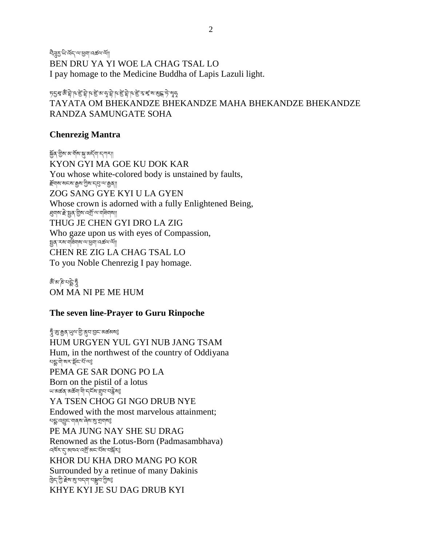বীৰ্ত্ৰমুখিৰ্দ্মেশ্যৰ অৰ্থা BEN DRU YA YI WOE LA CHAG TSAL LO I pay homage to the Medicine Buddha of Lapis Lazuli light.

ঢ়ঀৢয়ৢ৻য়৾ৼঢ়ড়ড়য়৾ঢ়ৼঢ়ড়ড়ড়ড়ড়ড়ড়ড়ড়ড়ড়ড়ড়ৼঢ়৾ৼৼৼ TAYATA OM BHEKANDZE BHEKANDZE MAHA BHEKANDZE BHEKANDZE RANDZA SAMUNGATE SOHA

## **Chenrezig Mantra**

ৰ্ক্সব'থ্ৰীম'ম'মু'মু'মৰ্দ্ম'না' KYON GYI MA GOE KU DOK KAR You whose white-colored body is unstained by faults, རོགས་སངས་རྒྱས་ཀྱིས་དབུ་ལ་རྒྱན།། ZOG SANG GYE KYI U LA GYEN Whose crown is adorned with a fully Enlightened Being, ধ্র্যাম'ৰ্দ্ৰ'ষ্ট্ৰৰ'খ্যুম'ন্স্ৰ্ৰী'ম্যানখিয়া THUG JE CHEN GYI DRO LA ZIG Who gaze upon us with eyes of Compassion, སྤྱན་རས་གཟིགས་ལ་ཕྱག་འཚལ་ལོ།། CHEN RE ZIG LA CHAG TSAL LO To you Noble Chenrezig I pay homage.

জঁ'ৰা'ক্ল'মন্ন'ৰ OM MA NI PE ME HUM

#### **The seven line-Prayer to Guru Rinpoche**

হ্দুঁ'গ্ৰু'ক্সুব্'ঋ্ৰু'শ্ৰু'ব্'ব্ৰ'ন্ডান'ৰ্জ্ঞৰাজী HUM URGYEN YUL GYI NUB JANG TSAM Hum, in the northwest of the country of Oddiyana ন্দুর্লী অবস্থিত যাঁতাই PEMA GE SAR DONG PO LA Born on the pistil of a lotus খা ঝৰ্ক্তব্য অৰ্ক্তব্য শীদ বৰ্ত্ত মন্ত্ৰী অৱস্থা YA TSEN CHOG GI NGO DRUB NYE Endowed with the most marvelous attainment; ยรู : จรู : จารุ พลุด เจ๋ สาย ส่ง PE MA JUNG NAY SHE SU DRAG Renowned as the Lotus-Born (Padmasambhava) ঀড়ৼ৸ৼৗৢ৻৸৸৸৸৸৸৸৸৸৸৸৸ KHOR DU KHA DRO MANG PO KOR Surrounded by a retinue of many Dakinis ট্রিন'স্ট্র' া্রিম্' হার্ম্বান'মুক্স বিভি KHYE KYI JE SU DAG DRUB KYI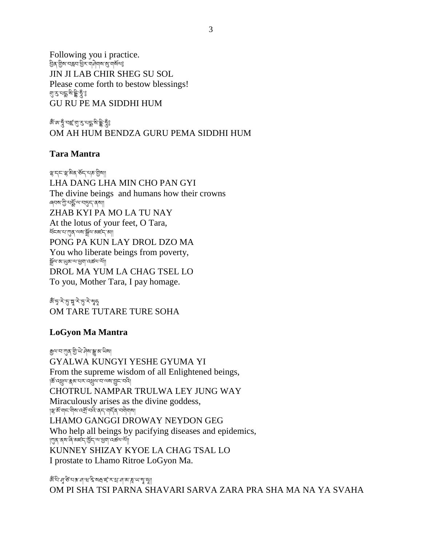Following you i practice. བྱིན་གིས་བརླབ་ཕྱིར་གཤེགས་སུ་གསོལ༔ JIN JI LAB CHIR SHEG SU SOL Please come forth to bestow blessings! <sub>য়ৢ</sub>ৼৢ৸ৼৢৼৢঢ়ৢৼ GU RU PE MA SIDDHI HUM

জঁজেত্ত্ব অৰ্ছ'য়াত্ৰ*াই* ভূঞ্জী কৰি OM AH HUM BENDZA GURU PEMA SIDDHI HUM

## **Tara Mantra**

ৼৢ৽ৼৼৼ৻ৼ৻ৼ৸ৼ৻য়৸ LHA DANG LHA MIN CHO PAN GYI The divine beings and humans how their crowns ৰ্বনম'স্ত্ৰী'থৰ্ক্ক'ম্'ব্ছেন'ৰ্মা ZHAB KYI PA MO LA TU NAY At the lotus of your feet, O Tara, ཕོངས་པ་ཀུན་ལས་སོལ་མཛད་མ།། PONG PA KUN LAY DROL DZO MA You who liberate beings from poverty, སོལ་མ་ཡུམ་ལ་ཕྱག་འཚལ་ལོ།། DROL MA YUM LA CHAG TSEL LO To you, Mother Tara, I pay homage.

ধাঁ দু <sup>:</sup> ২ঁ'নৃ' <del>মু</del> হ'লু' মু কু OM TARE TUTARE TURE SOHA

# **LoGyon Ma Mantra**

རྒྱལ་བ་ཀུན་གི་ཡེ་ཤེས་སྒྱུ་མ་ཡིས། GYALWA KUNGYI YESHE GYUMA YI From the supreme wisdom of all Enlightened beings, །ཆོ་འཕྲུལ་རྣམ་པར་འཕྲུལ་བ་ལས་བྱུང་བའི། CHOTRUL NAMPAR TRULWA LEY JUNG WAY Miraculously arises as the divine goddess, ।ৠॐশে<'অীৰ'নের্শ্র'বনি' বার্ন্স বেলীযাৰা LHAMO GANGGI DROWAY NEYDON GEG Who help all beings by pacifying diseases and epidemics, । শ্যুষ বেম'ৰে' অর্হন' ব্রিন' অ' ব্রিন' মাত্র KUNNEY SHIZAY KYOE LA CHAG TSAL LO I prostate to Lhamo Ritroe LoGyon Ma.

জ্ঞানে মাঁকুৰ স্কাৰী সম্ভিত্ৰ সম্ভিত্ৰ সম্ভিত্ৰ সম্ভিত্ৰ সম্ভিত্ৰ সম্ভিত্ৰ সম্ভিত্য সম্ভিত্য কৰা হয়।<br>জুলু*মা শ্ৰ*িক সম্ভিত্য সম্ভিত্য সম্ভিত্য সম্ভিত্য সম্ভিত্য সম্ভিত্য সম্ভিত্য সম্ভিত্য সম্ভিত্য সম্ভিত্য সম্ভিত OM PI SHA TSI PARNA SHAVARI SARVA ZARA PRA SHA MA NA YA SVAHA